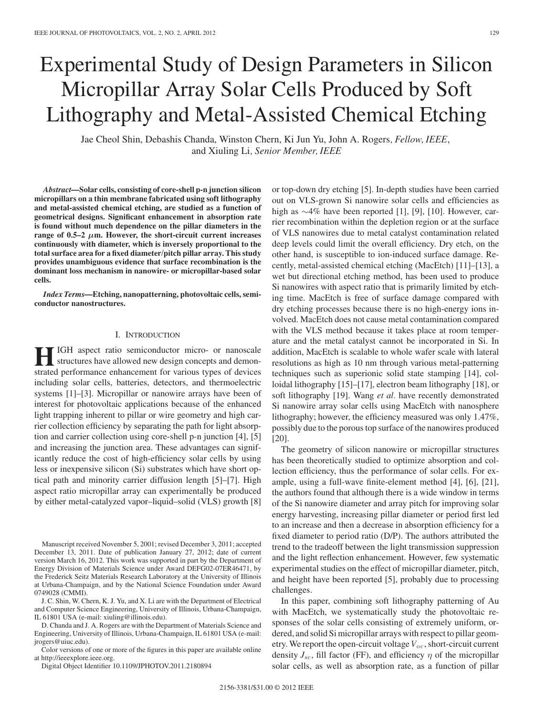# Experimental Study of Design Parameters in Silicon Micropillar Array Solar Cells Produced by Soft Lithography and Metal-Assisted Chemical Etching

Jae Cheol Shin, Debashis Chanda, Winston Chern, Ki Jun Yu, John A. Rogers*, Fellow, IEEE*, and Xiuling Li*, Senior Member, IEEE*

*Abstract***—Solar cells, consisting of core-shell p-n junction silicon micropillars on a thin membrane fabricated using soft lithography and metal-assisted chemical etching, are studied as a function of geometrical designs. Significant enhancement in absorption rate is found without much dependence on the pillar diameters in the range of 0.5–2**  $\mu$ **m. However, the short-circuit current increases continuously with diameter, which is inversely proportional to the total surface area for a fixed diameter/pitch pillar array. This study provides unambiguous evidence that surface recombination is the dominant loss mechanism in nanowire- or micropillar-based solar cells.**

*Index Terms***—Etching, nanopatterning, photovoltaic cells, semiconductor nanostructures.**

## I. INTRODUCTION

**HIGH** aspect ratio semiconductor micro- or nanoscale structures have allowed new design concepts and demonstrated performance enhancement for various types of devices including solar cells, batteries, detectors, and thermoelectric systems [1]–[3]. Micropillar or nanowire arrays have been of interest for photovoltaic applications because of the enhanced light trapping inherent to pillar or wire geometry and high carrier collection efficiency by separating the path for light absorption and carrier collection using core-shell p-n junction [4], [5] and increasing the junction area. These advantages can significantly reduce the cost of high-efficiency solar cells by using less or inexpensive silicon (Si) substrates which have short optical path and minority carrier diffusion length [5]–[7]. High aspect ratio micropillar array can experimentally be produced by either metal-catalyzed vapor–liquid–solid (VLS) growth [8]

Manuscript received November 5, 2001; revised December 3, 2011; accepted December 13, 2011. Date of publication January 27, 2012; date of current version March 16, 2012. This work was supported in part by the Department of Energy Division of Materials Science under Award DEFG02-07ER46471, by the Frederick Seitz Materials Research Laboratory at the University of Illinois at Urbana-Champaign, and by the National Science Foundation under Award 0749028 (CMMI).

J. C. Shin, W. Chern, K. J. Yu, and X. Li are with the Department of Electrical and Computer Science Engineering, University of Illinois, Urbana-Champaign, IL 61801 USA (e-mail: xiuling@illinois.edu).

D. Chanda and J. A. Rogers are with the Department of Materials Science and Engineering, University of Illinois, Urbana-Champaign, IL 61801 USA (e-mail: jrogers@uiuc.edu).

Color versions of one or more of the figures in this paper are available online at http://ieeexplore.ieee.org.

Digital Object Identifier 10.1109/JPHOTOV.2011.2180894

or top-down dry etching [5]. In-depth studies have been carried out on VLS-grown Si nanowire solar cells and efficiencies as high as ∼4% have been reported [1], [9], [10]. However, carrier recombination within the depletion region or at the surface of VLS nanowires due to metal catalyst contamination related deep levels could limit the overall efficiency. Dry etch, on the other hand, is susceptible to ion-induced surface damage. Recently, metal-assisted chemical etching (MacEtch) [11]–[13], a wet but directional etching method, has been used to produce Si nanowires with aspect ratio that is primarily limited by etching time. MacEtch is free of surface damage compared with dry etching processes because there is no high-energy ions involved. MacEtch does not cause metal contamination compared with the VLS method because it takes place at room temperature and the metal catalyst cannot be incorporated in Si. In addition, MacEtch is scalable to whole wafer scale with lateral resolutions as high as 10 nm through various metal-patterning techniques such as superionic solid state stamping [14], colloidal lithography [15]–[17], electron beam lithography [18], or soft lithography [19]. Wang *et al.* have recently demonstrated Si nanowire array solar cells using MacEtch with nanosphere lithography; however, the efficiency measured was only 1.47%, possibly due to the porous top surface of the nanowires produced [20].

The geometry of silicon nanowire or micropillar structures has been theoretically studied to optimize absorption and collection efficiency, thus the performance of solar cells. For example, using a full-wave finite-element method [4], [6], [21], the authors found that although there is a wide window in terms of the Si nanowire diameter and array pitch for improving solar energy harvesting, increasing pillar diameter or period first led to an increase and then a decrease in absorption efficiency for a fixed diameter to period ratio (D/P). The authors attributed the trend to the tradeoff between the light transmission suppression and the light reflection enhancement. However, few systematic experimental studies on the effect of micropillar diameter, pitch, and height have been reported [5], probably due to processing challenges.

In this paper, combining soft lithography patterning of Au with MacEtch, we systematically study the photovoltaic responses of the solar cells consisting of extremely uniform, ordered, and solid Si micropillar arrays with respect to pillar geometry. We report the open-circuit voltage  $V_{\text{oc}}$ , short-circuit current density  $J_{\rm sc}$ , fill factor (FF), and efficiency  $\eta$  of the micropillar solar cells, as well as absorption rate, as a function of pillar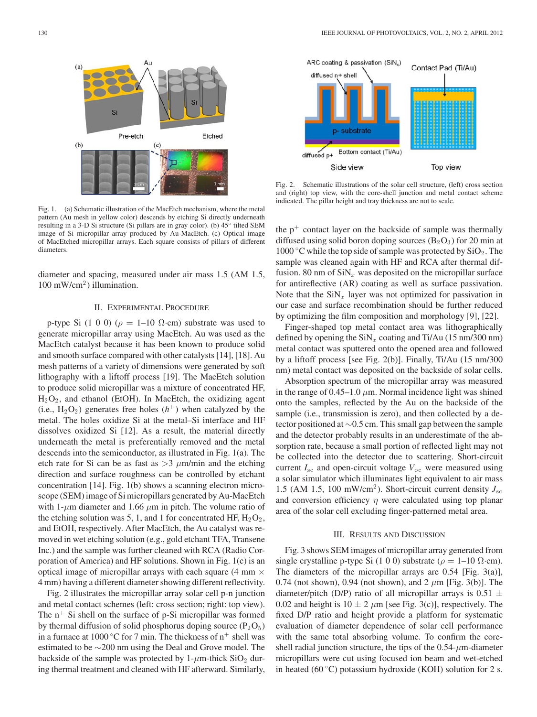

Fig. 1. (a) Schematic illustration of the MacEtch mechanism, where the metal pattern (Au mesh in yellow color) descends by etching Si directly underneath resulting in a 3-D Si structure (Si pillars are in gray color). (b) 45◦ tilted SEM image of Si micropillar array produced by Au-MacEtch. (c) Optical image of MacEtched micropillar arrays. Each square consists of pillars of different diameters.

diameter and spacing, measured under air mass 1.5 (AM 1.5,  $100 \text{ mW/cm}^2$ ) illumination.

### II. EXPERIMENTAL PROCEDURE

p-type Si (1 0 0) ( $\rho = 1$ –10  $\Omega$ ·cm) substrate was used to generate micropillar array using MacEtch. Au was used as the MacEtch catalyst because it has been known to produce solid and smooth surface compared with other catalysts [14], [18]. Au mesh patterns of a variety of dimensions were generated by soft lithography with a liftoff process [19]. The MacEtch solution to produce solid micropillar was a mixture of concentrated HF,  $H_2O_2$ , and ethanol (EtOH). In MacEtch, the oxidizing agent (i.e.,  $H_2O_2$ ) generates free holes  $(h^+)$  when catalyzed by the metal. The holes oxidize Si at the metal–Si interface and HF dissolves oxidized Si [12]. As a result, the material directly underneath the metal is preferentially removed and the metal descends into the semiconductor, as illustrated in Fig. 1(a). The etch rate for Si can be as fast as  $>3$   $\mu$ m/min and the etching direction and surface roughness can be controlled by etchant concentration [14]. Fig. 1(b) shows a scanning electron microscope (SEM) image of Si micropillars generated by Au-MacEtch with 1- $\mu$ m diameter and 1.66  $\mu$ m in pitch. The volume ratio of the etching solution was 5, 1, and 1 for concentrated HF,  $H_2O_2$ , and EtOH, respectively. After MacEtch, the Au catalyst was removed in wet etching solution (e.g., gold etchant TFA, Transene Inc.) and the sample was further cleaned with RCA (Radio Corporation of America) and HF solutions. Shown in Fig. 1(c) is an optical image of micropillar arrays with each square (4 mm  $\times$ 4 mm) having a different diameter showing different reflectivity.

Fig. 2 illustrates the micropillar array solar cell p-n junction and metal contact schemes (left: cross section; right: top view). The  $n^+$  Si shell on the surface of p-Si micropillar was formed by thermal diffusion of solid phosphorus doping source  $(P_2O_5)$ in a furnace at 1000 °C for 7 min. The thickness of  $n^+$  shell was estimated to be ∼200 nm using the Deal and Grove model. The backside of the sample was protected by  $1-\mu m$ -thick SiO<sub>2</sub> during thermal treatment and cleaned with HF afterward. Similarly,



Fig. 2. Schematic illustrations of the solar cell structure, (left) cross section and (right) top view, with the core-shell junction and metal contact scheme indicated. The pillar height and tray thickness are not to scale.

the  $p^+$  contact layer on the backside of sample was thermally diffused using solid boron doping sources  $(B_2O_3)$  for 20 min at 1000 °C while the top side of sample was protected by  $SiO<sub>2</sub>$ . The sample was cleaned again with HF and RCA after thermal diffusion. 80 nm of  $\sinh_x$  was deposited on the micropillar surface for antireflective (AR) coating as well as surface passivation. Note that the  $\sinh_x$  layer was not optimized for passivation in our case and surface recombination should be further reduced by optimizing the film composition and morphology [9], [22].

Finger-shaped top metal contact area was lithographically defined by opening the  $\text{SiN}_x$  coating and Ti/Au (15 nm/300 nm) metal contact was sputtered onto the opened area and followed by a liftoff process [see Fig. 2(b)]. Finally, Ti/Au (15 nm/300 nm) metal contact was deposited on the backside of solar cells.

Absorption spectrum of the micropillar array was measured in the range of  $0.45-1.0 \mu$ m. Normal incidence light was shined onto the samples, reflected by the Au on the backside of the sample (i.e., transmission is zero), and then collected by a detector positioned at ∼0.5 cm. This small gap between the sample and the detector probably results in an underestimate of the absorption rate, because a small portion of reflected light may not be collected into the detector due to scattering. Short-circuit current *I*sc and open-circuit voltage *V*oc were measured using a solar simulator which illuminates light equivalent to air mass 1.5 (AM 1.5, 100 mW/cm<sup>2</sup>). Short-circuit current density  $J_{\rm sc}$ and conversion efficiency  $\eta$  were calculated using top planar area of the solar cell excluding finger-patterned metal area.

### III. RESULTS AND DISCUSSION

Fig. 3 shows SEM images of micropillar array generated from single crystalline p-type Si (1 0 0) substrate ( $\rho = 1$ –10  $\Omega$ ·cm). The diameters of the micropillar arrays are 0.54 [Fig. 3(a)], 0.74 (not shown), 0.94 (not shown), and 2  $\mu$ m [Fig. 3(b)]. The diameter/pitch (D/P) ratio of all micropillar arrays is  $0.51 \pm$ 0.02 and height is  $10 \pm 2 \mu m$  [see Fig. 3(c)], respectively. The fixed D/P ratio and height provide a platform for systematic evaluation of diameter dependence of solar cell performance with the same total absorbing volume. To confirm the coreshell radial junction structure, the tips of the  $0.54$ - $\mu$ m-diameter micropillars were cut using focused ion beam and wet-etched in heated (60 $\degree$ C) potassium hydroxide (KOH) solution for 2 s.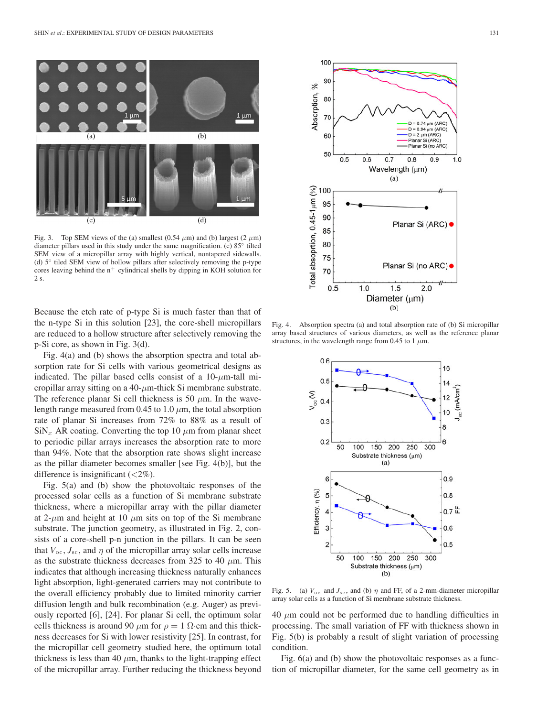

Fig. 3. Top SEM views of the (a) smallest (0.54  $\mu$ m) and (b) largest (2  $\mu$ m) diameter pillars used in this study under the same magnification. (c) 85◦ tilted SEM view of a micropillar array with highly vertical, nontapered sidewalls. (d) 5◦ tiled SEM view of hollow pillars after selectively removing the p-type cores leaving behind the  $n^+$  cylindrical shells by dipping in KOH solution for 2 s.

Because the etch rate of p-type Si is much faster than that of the n-type Si in this solution [23], the core-shell micropillars are reduced to a hollow structure after selectively removing the p-Si core, as shown in Fig. 3(d).

Fig. 4(a) and (b) shows the absorption spectra and total absorption rate for Si cells with various geometrical designs as indicated. The pillar based cells consist of a  $10$ - $\mu$ m-tall micropillar array sitting on a 40- $\mu$ m-thick Si membrane substrate. The reference planar Si cell thickness is 50  $\mu$ m. In the wavelength range measured from 0.45 to 1.0  $\mu$ m, the total absorption rate of planar Si increases from 72% to 88% as a result of  $\sinh(x)$  AR coating. Converting the top 10  $\mu$ m from planar sheet to periodic pillar arrays increases the absorption rate to more than 94%. Note that the absorption rate shows slight increase as the pillar diameter becomes smaller [see Fig. 4(b)], but the difference is insignificant  $\left( \langle 2\% \rangle \right)$ .

Fig. 5(a) and (b) show the photovoltaic responses of the processed solar cells as a function of Si membrane substrate thickness, where a micropillar array with the pillar diameter at 2- $\mu$ m and height at 10  $\mu$ m sits on top of the Si membrane substrate. The junction geometry, as illustrated in Fig. 2, consists of a core-shell p-n junction in the pillars. It can be seen that  $V_{\text{oc}}$ ,  $J_{\text{sc}}$ , and  $\eta$  of the micropillar array solar cells increase as the substrate thickness decreases from 325 to 40  $\mu$ m. This indicates that although increasing thickness naturally enhances light absorption, light-generated carriers may not contribute to the overall efficiency probably due to limited minority carrier diffusion length and bulk recombination (e.g. Auger) as previously reported [6], [24]. For planar Si cell, the optimum solar cells thickness is around 90  $\mu$ m for  $\rho = 1$   $\Omega$ ·cm and this thickness decreases for Si with lower resistivity [25]. In contrast, for the micropillar cell geometry studied here, the optimum total thickness is less than 40  $\mu$ m, thanks to the light-trapping effect of the micropillar array. Further reducing the thickness beyond



Fig. 4. Absorption spectra (a) and total absorption rate of (b) Si micropillar array based structures of various diameters, as well as the reference planar structures, in the wavelength range from 0.45 to 1  $\mu$ m.



Fig. 5. (a)  $V_{\text{oc}}$  and  $J_{\text{sc}}$ , and (b)  $\eta$  and FF, of a 2-mm-diameter micropillar array solar cells as a function of Si membrane substrate thickness.

 $40 \mu m$  could not be performed due to handling difficulties in processing. The small variation of FF with thickness shown in Fig. 5(b) is probably a result of slight variation of processing condition.

Fig. 6(a) and (b) show the photovoltaic responses as a function of micropillar diameter, for the same cell geometry as in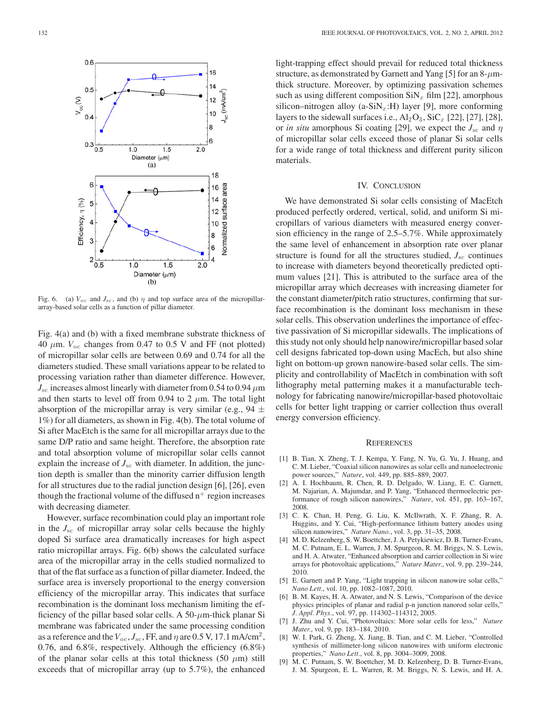

Fig. 6. (a)  $V_{\text{oc}}$  and  $J_{\text{sc}}$ , and (b)  $\eta$  and top surface area of the micropillararray-based solar cells as a function of pillar diameter.

Fig. 4(a) and (b) with a fixed membrane substrate thickness of  $40 \mu m$ .  $V_{\text{oc}}$  changes from 0.47 to 0.5 V and FF (not plotted) of micropillar solar cells are between 0.69 and 0.74 for all the diameters studied. These small variations appear to be related to processing variation rather than diameter difference. However,  $J_{\rm sc}$  increases almost linearly with diameter from 0.54 to 0.94  $\mu$ m and then starts to level off from 0.94 to 2  $\mu$ m. The total light absorption of the micropillar array is very similar (e.g., 94  $\pm$ 1%) for all diameters, as shown in Fig. 4(b). The total volume of Si after MacEtch is the same for all micropillar arrays due to the same D/P ratio and same height. Therefore, the absorption rate and total absorption volume of micropillar solar cells cannot explain the increase of  $J_{\rm sc}$  with diameter. In addition, the junction depth is smaller than the minority carrier diffusion length for all structures due to the radial junction design [6], [26], even though the fractional volume of the diffused  $n^+$  region increases with decreasing diameter.

However, surface recombination could play an important role in the *J*sc of micropillar array solar cells because the highly doped Si surface area dramatically increases for high aspect ratio micropillar arrays. Fig. 6(b) shows the calculated surface area of the micropillar array in the cells studied normalized to that of the flat surface as a function of pillar diameter. Indeed, the surface area is inversely proportional to the energy conversion efficiency of the micropillar array. This indicates that surface recombination is the dominant loss mechanism limiting the efficiency of the pillar based solar cells. A 50- $\mu$ m-thick planar Si membrane was fabricated under the same processing condition as a reference and the  $V_{\text{oc}}$ ,  $J_{\text{sc}}$ , FF, and  $\eta$  are 0.5 V, 17.1 mA/cm<sup>2</sup>, 0.76, and 6.8%, respectively. Although the efficiency (6.8%) of the planar solar cells at this total thickness (50  $\mu$ m) still exceeds that of micropillar array (up to 5.7%), the enhanced

light-trapping effect should prevail for reduced total thickness structure, as demonstrated by Garnett and Yang [5] for an  $8-\mu$ mthick structure. Moreover, by optimizing passivation schemes such as using different composition  $\text{SiN}_x$  film [22], amorphous silicon–nitrogen alloy (a-SiN<sub>x</sub>:H) layer [9], more conforming layers to the sidewall surfaces i.e.,  $Al_2O_3$ ,  $SiC_x$  [22], [27], [28], or *in situ* amorphous Si coating [29], we expect the  $J_{\rm sc}$  and  $\eta$ of micropillar solar cells exceed those of planar Si solar cells for a wide range of total thickness and different purity silicon materials.

#### IV. CONCLUSION

We have demonstrated Si solar cells consisting of MacEtch produced perfectly ordered, vertical, solid, and uniform Si micropillars of various diameters with measured energy conversion efficiency in the range of 2.5–5.7%. While approximately the same level of enhancement in absorption rate over planar structure is found for all the structures studied,  $J_{\rm sc}$  continues to increase with diameters beyond theoretically predicted optimum values [21]. This is attributed to the surface area of the micropillar array which decreases with increasing diameter for the constant diameter/pitch ratio structures, confirming that surface recombination is the dominant loss mechanism in these solar cells. This observation underlines the importance of effective passivation of Si micropillar sidewalls. The implications of this study not only should help nanowire/micropillar based solar cell designs fabricated top-down using MacEch, but also shine light on bottom-up grown nanowire-based solar cells. The simplicity and controllability of MacEtch in combination with soft lithography metal patterning makes it a manufacturable technology for fabricating nanowire/micropillar-based photovoltaic cells for better light trapping or carrier collection thus overall energy conversion efficiency.

#### **REFERENCES**

- [1] B. Tian, X. Zheng, T. J. Kempa, Y. Fang, N. Yu, G. Yu, J. Huang, and C. M. Lieber, "Coaxial silicon nanowires as solar cells and nanoelectronic power sources," *Nature*, vol. 449, pp. 885–889, 2007.
- [2] A. I. Hochbaum, R. Chen, R. D. Delgado, W. Liang, E. C. Garnett, M. Najarian, A. Majumdar, and P. Yang, "Enhanced thermoelectric performance of rough silicon nanowires," *Nature*, vol. 451, pp. 163–167, 2008.
- [3] C. K. Chan, H. Peng, G. Liu, K. McIlwrath, X. F. Zhang, R. A. Huggins, and Y. Cui, "High-performance lithium battery anodes using silicon nanowires," *Nature Nano.*, vol. 3, pp. 31–35, 2008.
- [4] M. D. Kelzenberg, S. W. Boettcher, J. A. Petykiewicz, D. B. Turner-Evans, M. C. Putnam, E. L. Warren, J. M. Spurgeon, R. M. Briggs, N. S. Lewis, and H. A. Atwater, "Enhanced absorption and carrier collection in Si wire arrays for photovoltaic applications," *Nature Mater.*, vol. 9, pp. 239–244, 2010.
- [5] E. Garnett and P. Yang, "Light trapping in silicon nanowire solar cells," *Nano Lett.*, vol. 10, pp. 1082–1087, 2010.
- [6] B. M. Kayes, H. A. Atwater, and N. S. Lewis, "Comparison of the device physics principles of planar and radial p-n junction nanorod solar cells," *J. Appl. Phys.*, vol. 97, pp. 114302–114312, 2005.
- [7] J. Zhu and Y. Cui, "Photovoltaics: More solar cells for less," *Nature Mater.*, vol. 9, pp. 183–184, 2010.
- [8] W. I. Park, G. Zheng, X. Jiang, B. Tian, and C. M. Lieber, "Controlled synthesis of millimeter-long silicon nanowires with uniform electronic properties," *Nano Lett.*, vol. 8, pp. 3004–3009, 2008.
- [9] M. C. Putnam, S. W. Boettcher, M. D. Kelzenberg, D. B. Turner-Evans, J. M. Spurgeon, E. L. Warren, R. M. Briggs, N. S. Lewis, and H. A.